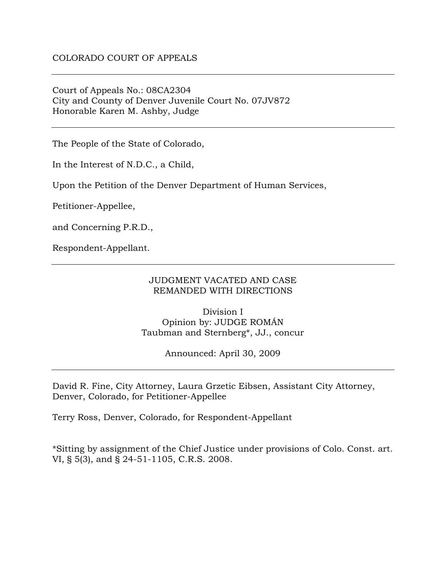Court of Appeals No.: 08CA2304 City and County of Denver Juvenile Court No. 07JV872 Honorable Karen M. Ashby, Judge

The People of the State of Colorado,

In the Interest of N.D.C., a Child,

Upon the Petition of the Denver Department of Human Services,

Petitioner-Appellee,

and Concerning P.R.D.,

Respondent-Appellant.

## JUDGMENT VACATED AND CASE REMANDED WITH DIRECTIONS

Division I Opinion by: JUDGE ROMÁN Taubman and Sternberg\*, JJ., concur

Announced: April 30, 2009

David R. Fine, City Attorney, Laura Grzetic Eibsen, Assistant City Attorney, Denver, Colorado, for Petitioner-Appellee

Terry Ross, Denver, Colorado, for Respondent-Appellant

\*Sitting by assignment of the Chief Justice under provisions of Colo. Const. art. VI, § 5(3), and § 24-51-1105, C.R.S. 2008.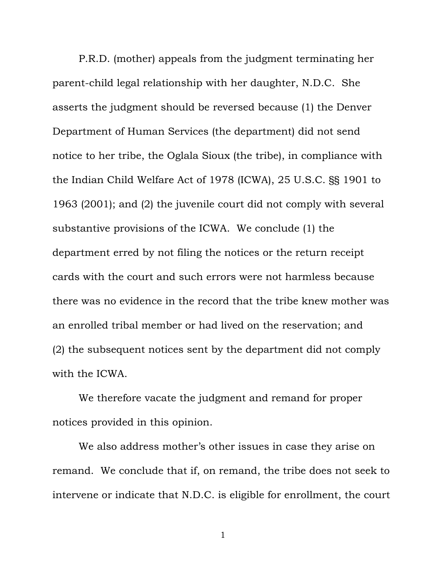P.R.D. (mother) appeals from the judgment terminating her parent-child legal relationship with her daughter, N.D.C. She asserts the judgment should be reversed because (1) the Denver Department of Human Services (the department) did not send notice to her tribe, the Oglala Sioux (the tribe), in compliance with the Indian Child Welfare Act of 1978 (ICWA), 25 U.S.C. §§ 1901 to 1963 (2001); and (2) the juvenile court did not comply with several substantive provisions of the ICWA. We conclude (1) the department erred by not filing the notices or the return receipt cards with the court and such errors were not harmless because there was no evidence in the record that the tribe knew mother was an enrolled tribal member or had lived on the reservation; and (2) the subsequent notices sent by the department did not comply with the ICWA.

We therefore vacate the judgment and remand for proper notices provided in this opinion.

We also address mother's other issues in case they arise on remand. We conclude that if, on remand, the tribe does not seek to intervene or indicate that N.D.C. is eligible for enrollment, the court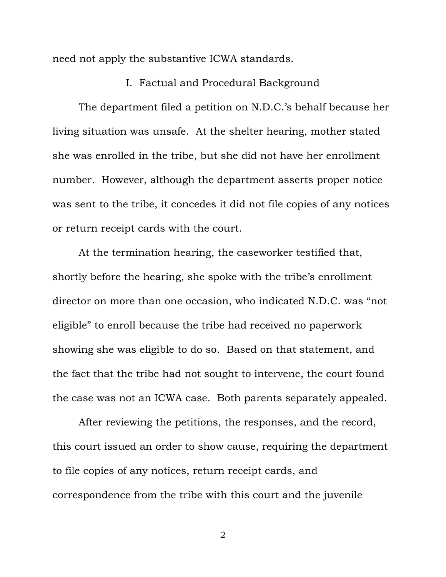need not apply the substantive ICWA standards.

## I. Factual and Procedural Background

 The department filed a petition on N.D.C.'s behalf because her living situation was unsafe. At the shelter hearing, mother stated she was enrolled in the tribe, but she did not have her enrollment number. However, although the department asserts proper notice was sent to the tribe, it concedes it did not file copies of any notices or return receipt cards with the court.

 At the termination hearing, the caseworker testified that, shortly before the hearing, she spoke with the tribe's enrollment director on more than one occasion, who indicated N.D.C. was "not eligible" to enroll because the tribe had received no paperwork showing she was eligible to do so. Based on that statement, and the fact that the tribe had not sought to intervene, the court found the case was not an ICWA case. Both parents separately appealed.

 After reviewing the petitions, the responses, and the record, this court issued an order to show cause, requiring the department to file copies of any notices, return receipt cards, and correspondence from the tribe with this court and the juvenile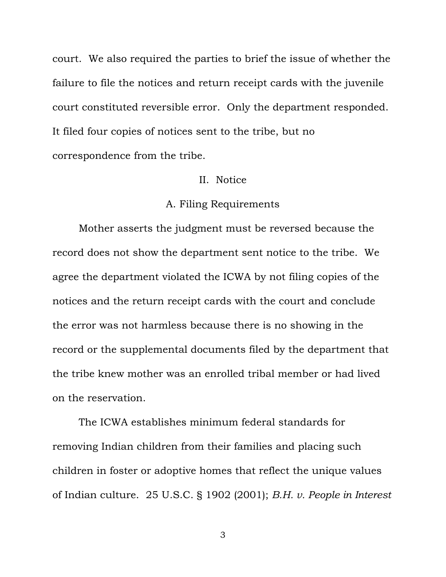court. We also required the parties to brief the issue of whether the failure to file the notices and return receipt cards with the juvenile court constituted reversible error. Only the department responded. It filed four copies of notices sent to the tribe, but no correspondence from the tribe.

#### II. Notice

# A. Filing Requirements

 Mother asserts the judgment must be reversed because the record does not show the department sent notice to the tribe. We agree the department violated the ICWA by not filing copies of the notices and the return receipt cards with the court and conclude the error was not harmless because there is no showing in the record or the supplemental documents filed by the department that the tribe knew mother was an enrolled tribal member or had lived on the reservation.

 The ICWA establishes minimum federal standards for removing Indian children from their families and placing such children in foster or adoptive homes that reflect the unique values of Indian culture. 25 U.S.C. § 1902 (2001); *B.H. v. People in Interest*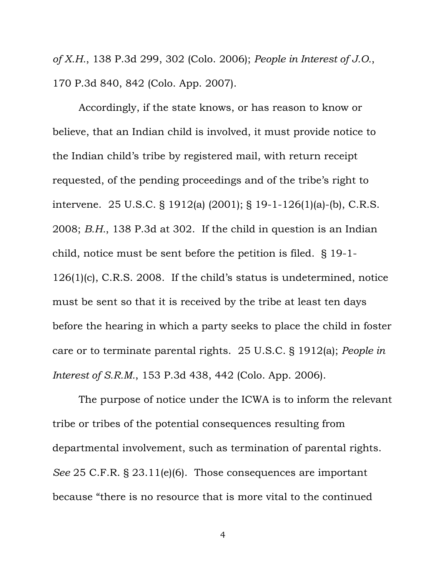*of X.H.*, 138 P.3d 299, 302 (Colo. 2006); *People in Interest of J.O.*, 170 P.3d 840, 842 (Colo. App. 2007).

Accordingly, if the state knows, or has reason to know or believe, that an Indian child is involved, it must provide notice to the Indian child's tribe by registered mail, with return receipt requested, of the pending proceedings and of the tribe's right to intervene. 25 U.S.C. § 1912(a) (2001); § 19-1-126(1)(a)-(b), C.R.S. 2008; *B.H.*, 138 P.3d at 302. If the child in question is an Indian child, notice must be sent before the petition is filed. § 19-1- 126(1)(c), C.R.S. 2008. If the child's status is undetermined, notice must be sent so that it is received by the tribe at least ten days before the hearing in which a party seeks to place the child in foster care or to terminate parental rights. 25 U.S.C. § 1912(a); *People in Interest of S.R.M.*, 153 P.3d 438, 442 (Colo. App. 2006).

 The purpose of notice under the ICWA is to inform the relevant tribe or tribes of the potential consequences resulting from departmental involvement, such as termination of parental rights. *See* 25 C.F.R. § 23.11(e)(6). Those consequences are important because "there is no resource that is more vital to the continued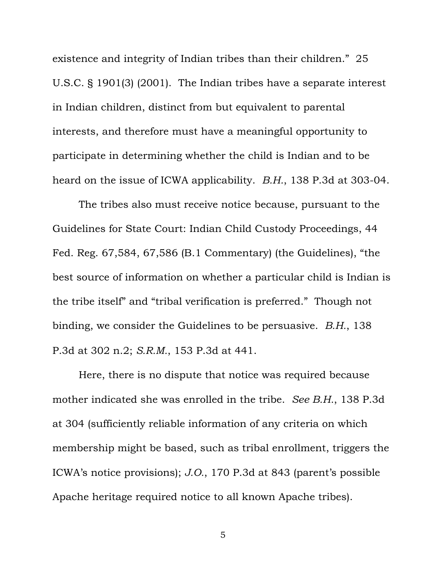existence and integrity of Indian tribes than their children." 25 U.S.C. § 1901(3) (2001). The Indian tribes have a separate interest in Indian children, distinct from but equivalent to parental interests, and therefore must have a meaningful opportunity to participate in determining whether the child is Indian and to be heard on the issue of ICWA applicability. *B.H.*, 138 P.3d at 303-04.

The tribes also must receive notice because, pursuant to the Guidelines for State Court: Indian Child Custody Proceedings, 44 Fed. Reg. 67,584, 67,586 (B.1 Commentary) (the Guidelines), "the best source of information on whether a particular child is Indian is the tribe itself" and "tribal verification is preferred." Though not binding, we consider the Guidelines to be persuasive. *B.H.*, 138 P.3d at 302 n.2; *S.R.M.*, 153 P.3d at 441.

Here, there is no dispute that notice was required because mother indicated she was enrolled in the tribe. *See B.H.*, 138 P.3d at 304 (sufficiently reliable information of any criteria on which membership might be based, such as tribal enrollment, triggers the ICWA's notice provisions); *J.O.*, 170 P.3d at 843 (parent's possible Apache heritage required notice to all known Apache tribes).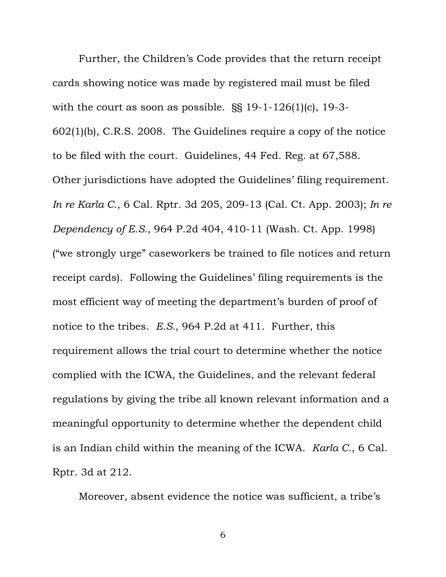Further, the Children's Code provides that the return receipt cards showing notice was made by registered mail must be filed with the court as soon as possible. §§ 19-1-126(1)(c), 19-3- 602(1)(b), C.R.S. 2008. The Guidelines require a copy of the notice to be filed with the court. Guidelines, 44 Fed. Reg. at 67,588. Other jurisdictions have adopted the Guidelines' filing requirement. *In re Karla C.*, 6 Cal. Rptr. 3d 205, 209-13 (Cal. Ct. App. 2003); *In re Dependency of E.S.*, 964 P.2d 404, 410-11 (Wash. Ct. App. 1998) ("we strongly urge" caseworkers be trained to file notices and return receipt cards). Following the Guidelines' filing requirements is the most efficient way of meeting the department's burden of proof of notice to the tribes. *E.S.*, 964 P.2d at 411. Further, this requirement allows the trial court to determine whether the notice complied with the ICWA, the Guidelines, and the relevant federal regulations by giving the tribe all known relevant information and a meaningful opportunity to determine whether the dependent child is an Indian child within the meaning of the ICWA. *Karla C.*, 6 Cal. Rptr. 3d at 212.

Moreover, absent evidence the notice was sufficient, a tribe's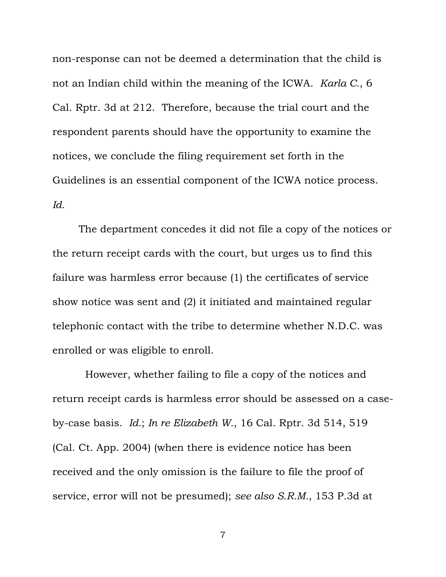non-response can not be deemed a determination that the child is not an Indian child within the meaning of the ICWA. *Karla C.*, 6 Cal. Rptr. 3d at 212. Therefore, because the trial court and the respondent parents should have the opportunity to examine the notices, we conclude the filing requirement set forth in the Guidelines is an essential component of the ICWA notice process. *Id.* 

 The department concedes it did not file a copy of the notices or the return receipt cards with the court, but urges us to find this failure was harmless error because (1) the certificates of service show notice was sent and (2) it initiated and maintained regular telephonic contact with the tribe to determine whether N.D.C. was enrolled or was eligible to enroll.

 However, whether failing to file a copy of the notices and return receipt cards is harmless error should be assessed on a caseby-case basis. *Id.*; *In re Elizabeth W.*, 16 Cal. Rptr. 3d 514, 519 (Cal. Ct. App. 2004) (when there is evidence notice has been received and the only omission is the failure to file the proof of service, error will not be presumed); *see also S.R.M.*, 153 P.3d at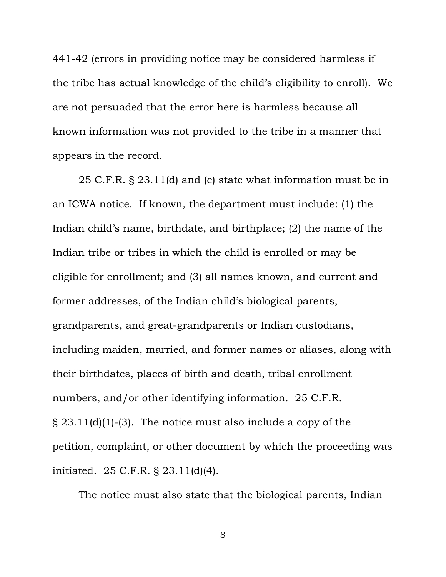441-42 (errors in providing notice may be considered harmless if the tribe has actual knowledge of the child's eligibility to enroll). We are not persuaded that the error here is harmless because all known information was not provided to the tribe in a manner that appears in the record.

 25 C.F.R. § 23.11(d) and (e) state what information must be in an ICWA notice. If known, the department must include: (1) the Indian child's name, birthdate, and birthplace; (2) the name of the Indian tribe or tribes in which the child is enrolled or may be eligible for enrollment; and (3) all names known, and current and former addresses, of the Indian child's biological parents, grandparents, and great-grandparents or Indian custodians, including maiden, married, and former names or aliases, along with their birthdates, places of birth and death, tribal enrollment numbers, and/or other identifying information. 25 C.F.R. § 23.11(d)(1)-(3). The notice must also include a copy of the petition, complaint, or other document by which the proceeding was initiated. 25 C.F.R. § 23.11(d)(4).

The notice must also state that the biological parents, Indian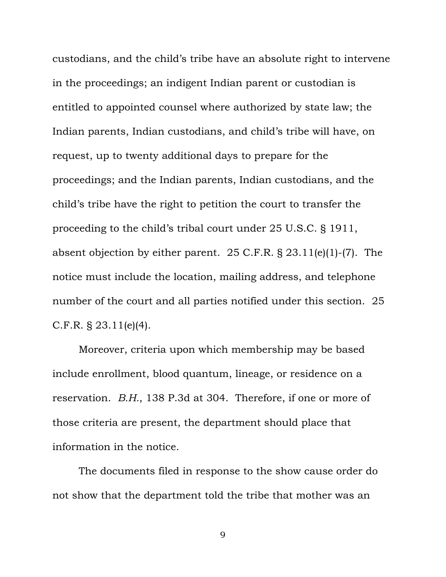custodians, and the child's tribe have an absolute right to intervene in the proceedings; an indigent Indian parent or custodian is entitled to appointed counsel where authorized by state law; the Indian parents, Indian custodians, and child's tribe will have, on request, up to twenty additional days to prepare for the proceedings; and the Indian parents, Indian custodians, and the child's tribe have the right to petition the court to transfer the proceeding to the child's tribal court under 25 U.S.C. § 1911, absent objection by either parent. 25 C.F.R. § 23.11(e)(1)-(7). The notice must include the location, mailing address, and telephone number of the court and all parties notified under this section. 25 C.F.R. § 23.11(e)(4).

 Moreover, criteria upon which membership may be based include enrollment, blood quantum, lineage, or residence on a reservation. *B.H.*, 138 P.3d at 304. Therefore, if one or more of those criteria are present, the department should place that information in the notice.

The documents filed in response to the show cause order do not show that the department told the tribe that mother was an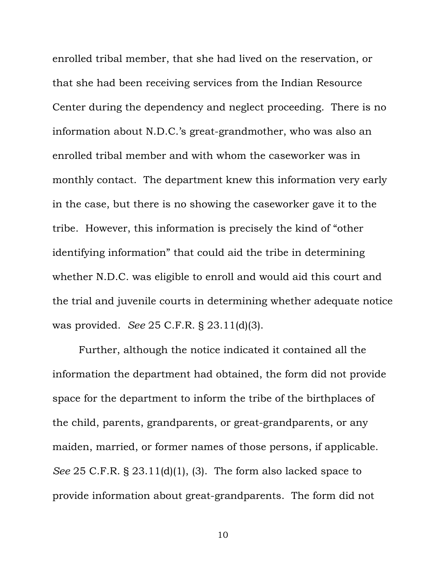enrolled tribal member, that she had lived on the reservation, or that she had been receiving services from the Indian Resource Center during the dependency and neglect proceeding. There is no information about N.D.C.'s great-grandmother, who was also an enrolled tribal member and with whom the caseworker was in monthly contact. The department knew this information very early in the case, but there is no showing the caseworker gave it to the tribe. However, this information is precisely the kind of "other identifying information" that could aid the tribe in determining whether N.D.C. was eligible to enroll and would aid this court and the trial and juvenile courts in determining whether adequate notice was provided. *See* 25 C.F.R. § 23.11(d)(3).

Further, although the notice indicated it contained all the information the department had obtained, the form did not provide space for the department to inform the tribe of the birthplaces of the child, parents, grandparents, or great-grandparents, or any maiden, married, or former names of those persons, if applicable. *See* 25 C.F.R. § 23.11(d)(1), (3). The form also lacked space to provide information about great-grandparents. The form did not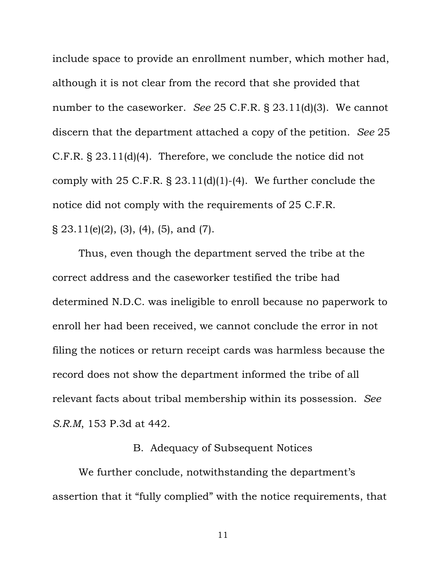include space to provide an enrollment number, which mother had, although it is not clear from the record that she provided that number to the caseworker. *See* 25 C.F.R. § 23.11(d)(3). We cannot discern that the department attached a copy of the petition. *See* 25 C.F.R. § 23.11(d)(4). Therefore, we conclude the notice did not comply with  $25$  C.F.R. §  $23.11(d)(1)-(4)$ . We further conclude the notice did not comply with the requirements of 25 C.F.R.  $\S 23.11(e)(2), (3), (4), (5), and (7).$ 

Thus, even though the department served the tribe at the correct address and the caseworker testified the tribe had determined N.D.C. was ineligible to enroll because no paperwork to enroll her had been received, we cannot conclude the error in not filing the notices or return receipt cards was harmless because the record does not show the department informed the tribe of all relevant facts about tribal membership within its possession. *See S.R.M*, 153 P.3d at 442.

### B. Adequacy of Subsequent Notices

 We further conclude, notwithstanding the department's assertion that it "fully complied" with the notice requirements, that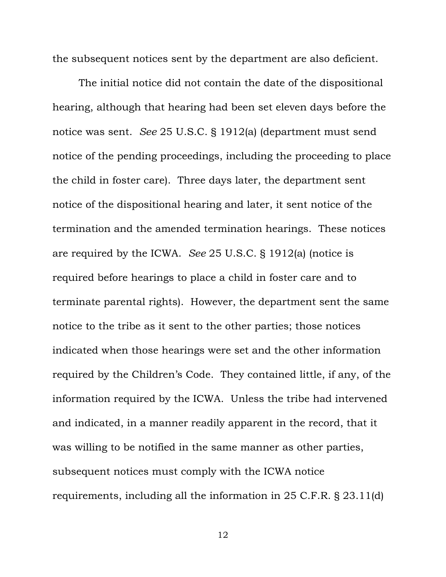the subsequent notices sent by the department are also deficient.

The initial notice did not contain the date of the dispositional hearing, although that hearing had been set eleven days before the notice was sent. *See* 25 U.S.C. § 1912(a) (department must send notice of the pending proceedings, including the proceeding to place the child in foster care). Three days later, the department sent notice of the dispositional hearing and later, it sent notice of the termination and the amended termination hearings. These notices are required by the ICWA. *See* 25 U.S.C. § 1912(a) (notice is required before hearings to place a child in foster care and to terminate parental rights). However, the department sent the same notice to the tribe as it sent to the other parties; those notices indicated when those hearings were set and the other information required by the Children's Code. They contained little, if any, of the information required by the ICWA. Unless the tribe had intervened and indicated, in a manner readily apparent in the record, that it was willing to be notified in the same manner as other parties, subsequent notices must comply with the ICWA notice requirements, including all the information in 25 C.F.R. § 23.11(d)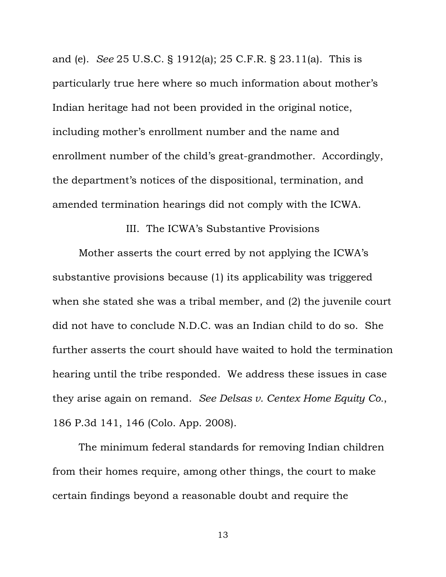and (e). *See* 25 U.S.C. § 1912(a); 25 C.F.R. § 23.11(a). This is particularly true here where so much information about mother's Indian heritage had not been provided in the original notice, including mother's enrollment number and the name and enrollment number of the child's great-grandmother. Accordingly, the department's notices of the dispositional, termination, and amended termination hearings did not comply with the ICWA.

III. The ICWA's Substantive Provisions

 Mother asserts the court erred by not applying the ICWA's substantive provisions because (1) its applicability was triggered when she stated she was a tribal member, and (2) the juvenile court did not have to conclude N.D.C. was an Indian child to do so. She further asserts the court should have waited to hold the termination hearing until the tribe responded. We address these issues in case they arise again on remand. *See Delsas v. Centex Home Equity Co.*, 186 P.3d 141, 146 (Colo. App. 2008).

 The minimum federal standards for removing Indian children from their homes require, among other things, the court to make certain findings beyond a reasonable doubt and require the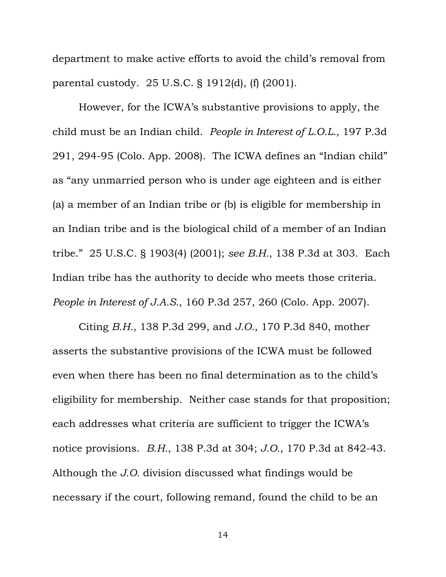department to make active efforts to avoid the child's removal from parental custody. 25 U.S.C. § 1912(d), (f) (2001).

However, for the ICWA's substantive provisions to apply, the child must be an Indian child. *People in Interest of L.O.L.*, 197 P.3d 291, 294-95 (Colo. App. 2008). The ICWA defines an "Indian child" as "any unmarried person who is under age eighteen and is either (a) a member of an Indian tribe or (b) is eligible for membership in an Indian tribe and is the biological child of a member of an Indian tribe." 25 U.S.C. § 1903(4) (2001); *see B.H.*, 138 P.3d at 303. Each Indian tribe has the authority to decide who meets those criteria. *People in Interest of J.A.S.*, 160 P.3d 257, 260 (Colo. App. 2007).

Citing *B.H.*, 138 P.3d 299, and *J.O.*, 170 P.3d 840, mother asserts the substantive provisions of the ICWA must be followed even when there has been no final determination as to the child's eligibility for membership. Neither case stands for that proposition; each addresses what criteria are sufficient to trigger the ICWA's notice provisions. *B.H.*, 138 P.3d at 304; *J.O.*, 170 P.3d at 842-43. Although the *J.O.* division discussed what findings would be necessary if the court, following remand, found the child to be an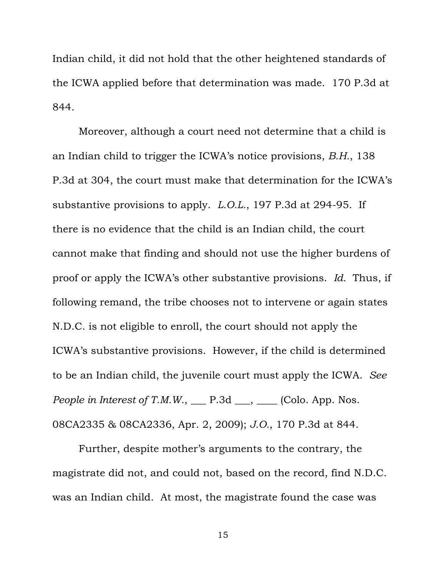Indian child, it did not hold that the other heightened standards of the ICWA applied before that determination was made. 170 P.3d at 844.

Moreover, although a court need not determine that a child is an Indian child to trigger the ICWA's notice provisions, *B.H.*, 138 P.3d at 304, the court must make that determination for the ICWA's substantive provisions to apply. *L.O.L.*, 197 P.3d at 294-95. If there is no evidence that the child is an Indian child, the court cannot make that finding and should not use the higher burdens of proof or apply the ICWA's other substantive provisions. *Id.* Thus, if following remand, the tribe chooses not to intervene or again states N.D.C. is not eligible to enroll, the court should not apply the ICWA's substantive provisions. However, if the child is determined to be an Indian child, the juvenile court must apply the ICWA. *See People in Interest of T.M.W.*,  $\_\_$  P.3d  $\_\_$ ,  $\_\_$  (Colo. App. Nos. 08CA2335 & 08CA2336, Apr. 2, 2009); *J.O.*, 170 P.3d at 844.

Further, despite mother's arguments to the contrary, the magistrate did not, and could not, based on the record, find N.D.C. was an Indian child. At most, the magistrate found the case was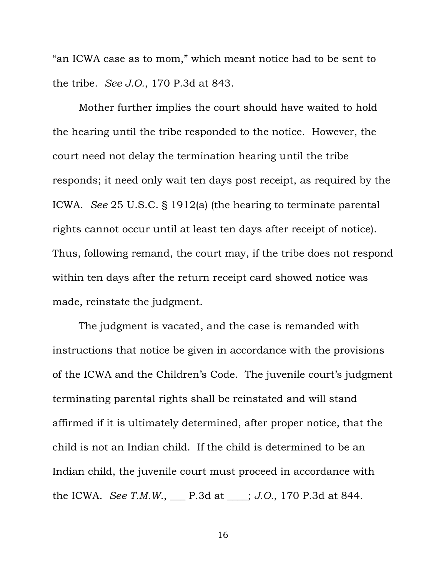"an ICWA case as to mom," which meant notice had to be sent to the tribe. *See J.O.*, 170 P.3d at 843.

Mother further implies the court should have waited to hold the hearing until the tribe responded to the notice. However, the court need not delay the termination hearing until the tribe responds; it need only wait ten days post receipt, as required by the ICWA. *See* 25 U.S.C. § 1912(a) (the hearing to terminate parental rights cannot occur until at least ten days after receipt of notice). Thus, following remand, the court may, if the tribe does not respond within ten days after the return receipt card showed notice was made, reinstate the judgment.

The judgment is vacated, and the case is remanded with instructions that notice be given in accordance with the provisions of the ICWA and the Children's Code. The juvenile court's judgment terminating parental rights shall be reinstated and will stand affirmed if it is ultimately determined, after proper notice, that the child is not an Indian child. If the child is determined to be an Indian child, the juvenile court must proceed in accordance with the ICWA. *See T.M.W.*, \_\_\_ P.3d at \_\_\_\_; *J.O.*, 170 P.3d at 844.